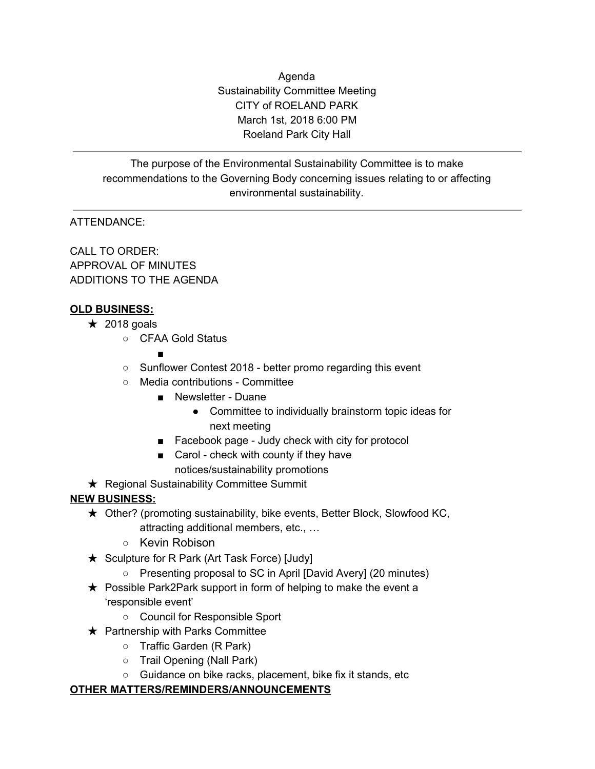Agenda Sustainability Committee Meeting CITY of ROELAND PARK March 1st, 2018 6:00 PM Roeland Park City Hall

The purpose of the Environmental Sustainability Committee is to make recommendations to the Governing Body concerning issues relating to or affecting environmental sustainability.

# ATTENDANCE:

CALL TO ORDER: APPROVAL OF MINUTES ADDITIONS TO THE AGENDA

### **OLD BUSINESS:**

- $\star$  2018 goals
	- CFAA Gold Status

#### ■

- Sunflower Contest 2018 better promo regarding this event
- Media contributions Committee
	- Newsletter Duane
		- Committee to individually brainstorm topic ideas for next meeting
	- Facebook page Judy check with city for protocol
	- Carol check with county if they have notices/sustainability promotions
- **★ Regional Sustainability Committee Summit**

# **NEW BUSINESS:**

- ★ Other? (promoting sustainability, bike events, Better Block, Slowfood KC, attracting additional members, etc., …
	- Kevin Robison
- ★ Sculpture for R Park (Art Task Force) [Judy]
	- Presenting proposal to SC in April [David Avery] (20 minutes)
- ★ Possible Park2Park support in form of helping to make the event a 'responsible event'
	- Council for Responsible Sport
- $\star$  Partnership with Parks Committee
	- Traffic Garden (R Park)
	- Trail Opening (Nall Park)
	- Guidance on bike racks, placement, bike fix it stands, etc

### **OTHER MATTERS/REMINDERS/ANNOUNCEMENTS**